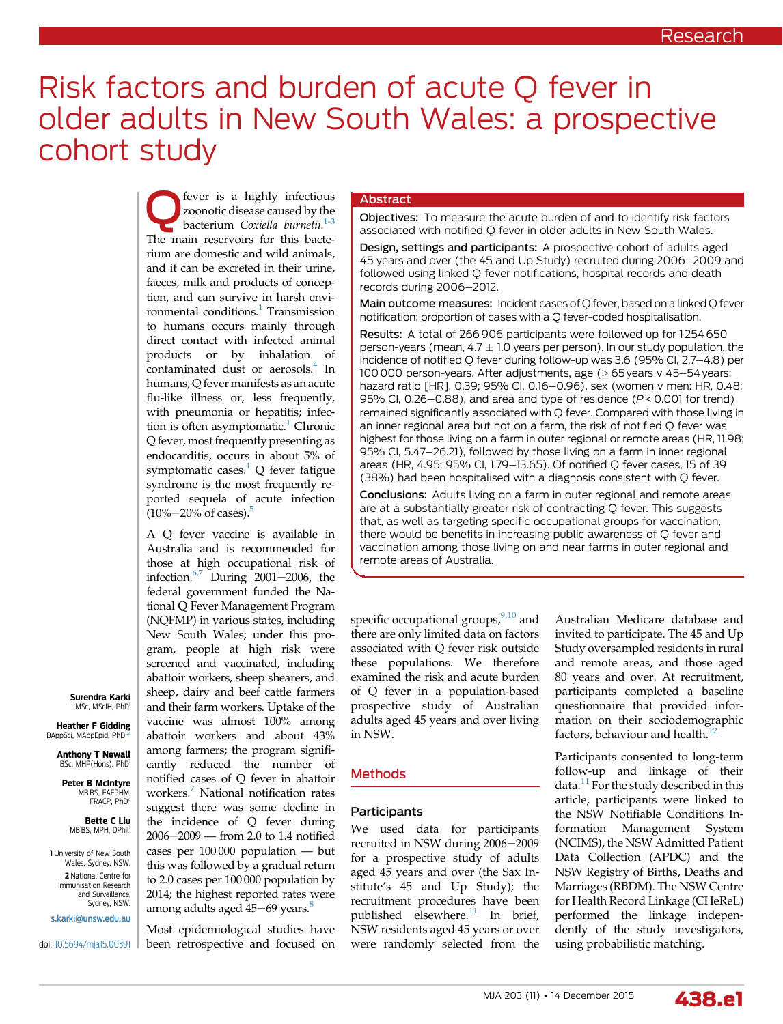# Risk factors and burden of acute Q fever in older adults in New South Wales: a prospective cohort study

**C** fever is a highly infectious<br>bacterium Coxiella burnetii.<sup>[1-3](#page-5-0)</sup> zoonotic disease caused by the The main reservoirs for this bacterium are domestic and wild animals, and it can be excreted in their urine, faeces, milk and products of conception, and can survive in harsh envi-ronmental conditions.<sup>[1](#page-5-0)</sup> Transmission to humans occurs mainly through direct contact with infected animal products or by inhalation of contaminated dust or aerosols.<sup>4</sup> In humans, Q fever manifests as an acute flu-like illness or, less frequently, with pneumonia or hepatitis; infec-tion is often asymptomatic.<sup>[1](#page-5-0)</sup> Chronic Q fever, most frequently presenting as endocarditis, occurs in about 5% of symptomatic cases. $^{1}$  Q fever fatigue syndrome is the most frequently reported sequela of acute infection  $(10\% - 20\% \text{ of cases})$ .<sup>5</sup>

A Q fever vaccine is available in Australia and is recommended for those at high occupational risk of infection. $6,7$  During 2001–2006, the federal government funded the National Q Fever Management Program (NQFMP) in various states, including New South Wales; under this program, people at high risk were screened and vaccinated, including abattoir workers, sheep shearers, and sheep, dairy and beef cattle farmers and their farm workers. Uptake of the vaccine was almost 100% among abattoir workers and about 43% among farmers; the program significantly reduced the number of notified cases of Q fever in abattoir workers.[7](#page-5-0) National notification rates suggest there was some decline in the incidence of Q fever during  $2006 - 2009$  — from 2.0 to 1.4 notified cases per 100 000 population — but this was followed by a gradual return to 2.0 cases per 100 000 population by 2014; the highest reported rates were among adults aged  $45-69$  years.<sup>8</sup>

Most epidemiological studies have been retrospective and focused on

## Abstract

Objectives: To measure the acute burden of and to identify risk factors associated with notified Q fever in older adults in New South Wales.

Design, settings and participants: A prospective cohort of adults aged 45 years and over (the 45 and Up Study) recruited during 2006-2009 and followed using linked Q fever notifications, hospital records and death records during 2006-2012.

Main outcome measures: Incident cases of O fever, based on a linked O fever notification; proportion of cases with a Q fever-coded hospitalisation.

Results: A total of 266 906 participants were followed up for 1254 650 person-years (mean,  $4.7 \pm 1.0$  years per person). In our study population, the incidence of notified Q fever during follow-up was 3.6 (95% CI,  $2.7-4.8$ ) per 100 000 person-years. After adjustments, age ( $\geq$  65 years v 45-54 years: hazard ratio [HR], 0.39; 95% CI, 0.16-0.96), sex (women v men: HR, 0.48; 95% CI, 0.26–0.88), and area and type of residence ( $P < 0.001$  for trend) remained significantly associated with Q fever. Compared with those living in an inner regional area but not on a farm, the risk of notified Q fever was highest for those living on a farm in outer regional or remote areas (HR, 11.98; 95% CI, 5.47-26.21), followed by those living on a farm in inner regional areas (HR, 4.95; 95% CI, 1.79-13.65). Of notified O fever cases, 15 of 39 (38%) had been hospitalised with a diagnosis consistent with Q fever.

Conclusions: Adults living on a farm in outer regional and remote areas are at a substantially greater risk of contracting Q fever. This suggests that, as well as targeting specific occupational groups for vaccination, there would be benefits in increasing public awareness of Q fever and vaccination among those living on and near farms in outer regional and remote areas of Australia.

specific occupational groups, $9,10$  and there are only limited data on factors associated with Q fever risk outside these populations. We therefore examined the risk and acute burden of Q fever in a population-based prospective study of Australian adults aged 45 years and over living in NSW.

# **Methods**

### Participants

We used data for participants recruited in NSW during 2006-2009 for a prospective study of adults aged 45 years and over (the Sax Institute's 45 and Up Study); the recruitment procedures have been published elsewhere. $11$  In brief, NSW residents aged 45 years or over were randomly selected from the

Australian Medicare database and invited to participate. The 45 and Up Study oversampled residents in rural and remote areas, and those aged 80 years and over. At recruitment, participants completed a baseline questionnaire that provided information on their sociodemographic factors, behaviour and health.<sup>[12](#page-5-0)</sup>

Participants consented to long-term follow-up and linkage of their data. $^{11}$  $^{11}$  $^{11}$  For the study described in this article, participants were linked to the NSW Notifiable Conditions Information Management System (NCIMS), the NSW Admitted Patient Data Collection (APDC) and the NSW Registry of Births, Deaths and Marriages (RBDM). The NSW Centre for Health Record Linkage (CHeReL) performed the linkage independently of the study investigators, using probabilistic matching.



Surendra Karki MSc, MScIH, PhD1

Heather F Gidding BAppSci, MAppEpid, PhD

Anthony T Newall BSc, MHP(Hons), PhD

Peter B McIntyre MB BS, FAFPHM, FRACP, PhD

> Bette C Liu MB BS, MPH, DPhil

**1** University of New South Wales, Sydney, NSW. 2 National Centre for Immunisation Research and Surveillance, Sydney, NSW.

[s.karki@unsw.edu.au](mailto:s.karki@unsw.edu.au)

doi: [10.5694/mja15.00391](http://dx.doi.org/10.5694/mja15.00391)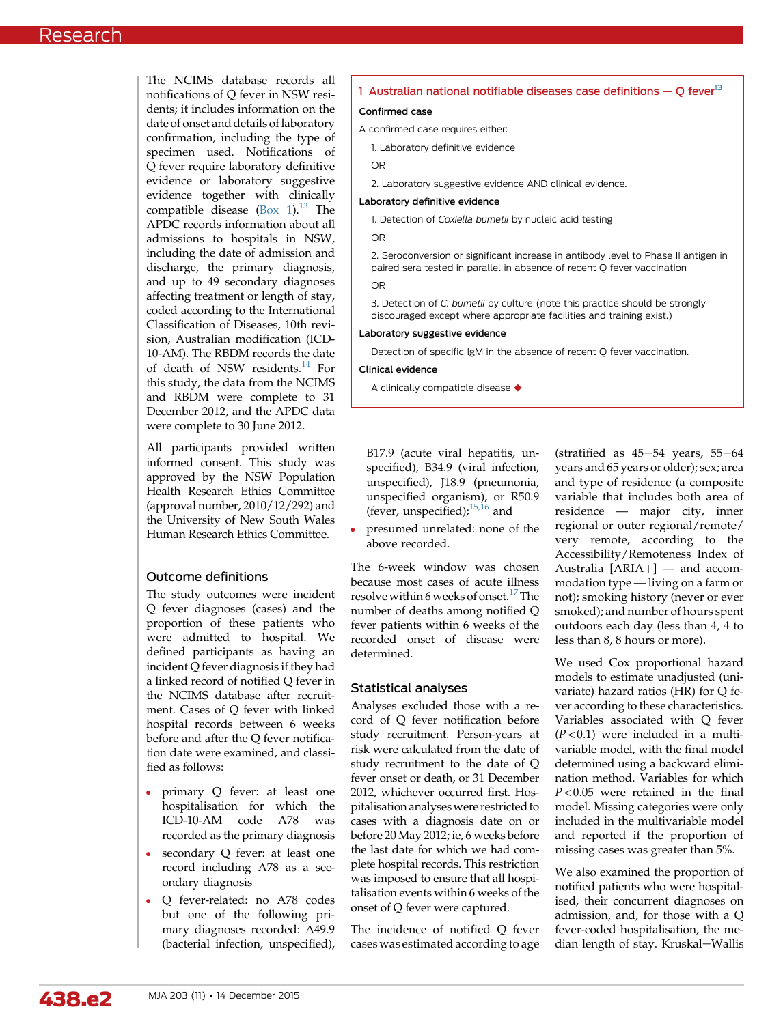The NCIMS database records all  $\Gamma$ notifications of O fever in NSW re dents; it includes information on date of onset and details of laborato confirmation, including the type specimen used. Notifications Q fever require laboratory definiti evidence or laboratory suggesti evidence together with clinical compatible disease  $(Box 1).^{13}$  $(Box 1).^{13}$  $(Box 1).^{13}$  T APDC records information about admissions to hospitals in NS including the date of admission a discharge, the primary diagnos and up to 49 secondary diagnos affecting treatment or length of sta coded according to the Internation Classification of Diseases, 10th re sion, Australian modification (IC 10-AM). The RBDM records the da of death of NSW residents. $14$  H this study, the data from the NCIMS and RBDM were complete to 31 December 2012, and the APDC data were complete to 30 June 2012.

All participants provided written informed consent. This study was approved by the NSW Population Health Research Ethics Committee (approval number, 2010/12/292) and the University of New South Wales Human Research Ethics Committee.

# Outcome definitions

The study outcomes were incident Q fever diagnoses (cases) and the proportion of these patients who were admitted to hospital. We defined participants as having an incident Q fever diagnosis if they had a linked record of notified Q fever in the NCIMS database after recruitment. Cases of Q fever with linked hospital records between 6 weeks before and after the Q fever notification date were examined, and classified as follows:

- primary Q fever: at least one hospitalisation for which the ICD-10-AM code A78 was recorded as the primary diagnosis
- secondary Q fever: at least one record including A78 as a secondary diagnosis
- Q fever-related: no A78 codes but one of the following primary diagnoses recorded: A49.9 (bacterial infection, unspecified),

| esi-        | 1 Australian national notifiable diseases case definitions $-Q$ fever <sup>13</sup>                                                                           |  |  |  |  |  |
|-------------|---------------------------------------------------------------------------------------------------------------------------------------------------------------|--|--|--|--|--|
| the         | Confirmed case                                                                                                                                                |  |  |  |  |  |
| pry         | A confirmed case requires either:                                                                                                                             |  |  |  |  |  |
| of<br>of    | 1. Laboratory definitive evidence                                                                                                                             |  |  |  |  |  |
| ive         | <b>OR</b>                                                                                                                                                     |  |  |  |  |  |
| ive         | 2. Laboratory suggestive evidence AND clinical evidence.                                                                                                      |  |  |  |  |  |
| ılly        | Laboratory definitive evidence                                                                                                                                |  |  |  |  |  |
| The<br>all  | 1. Detection of Coxiella burnetii by nucleic acid testing                                                                                                     |  |  |  |  |  |
| W,          | <b>OR</b>                                                                                                                                                     |  |  |  |  |  |
| ınd<br>sis, | 2. Seroconversion or significant increase in antibody level to Phase II antigen in<br>paired sera tested in parallel in absence of recent Q fever vaccination |  |  |  |  |  |
| ses         | <b>OR</b>                                                                                                                                                     |  |  |  |  |  |
| ay,<br>nal  | 3. Detection of C. burnetii by culture (note this practice should be strongly<br>discouraged except where appropriate facilities and training exist.)         |  |  |  |  |  |
| vi-<br>`D-  | Laboratory suggestive evidence                                                                                                                                |  |  |  |  |  |
| ate         | Detection of specific IgM in the absence of recent Q fever vaccination.                                                                                       |  |  |  |  |  |
| For         | Clinical evidence                                                                                                                                             |  |  |  |  |  |

A clinically compatible disease  $\blacklozenge$ 

B17.9 (acute viral hepatitis, unspecified), B34.9 (viral infection, unspecified), J18.9 (pneumonia, unspecified organism), or R50.9 (fever, unspecified);<sup>[15,16](#page-5-0)</sup> and

 presumed unrelated: none of the above recorded.

The 6-week window was chosen because most cases of acute illness resolve within 6 weeks of onset.<sup>[17](#page-5-0)</sup>The number of deaths among notified Q fever patients within 6 weeks of the recorded onset of disease were determined.

## Statistical analyses

Analyses excluded those with a record of Q fever notification before study recruitment. Person-years at risk were calculated from the date of study recruitment to the date of Q fever onset or death, or 31 December 2012, whichever occurred first. Hospitalisation analyses were restricted to cases with a diagnosis date on or before 20 May 2012; ie, 6 weeks before the last date for which we had complete hospital records. This restriction was imposed to ensure that all hospitalisation events within 6 weeks of the onset of Q fever were captured.

The incidence of notified Q fever cases was estimated according to age

(stratified as  $45-54$  years,  $55-64$ years and 65 years or older); sex; area and type of residence (a composite variable that includes both area of residence — major city, inner regional or outer regional/remote/ very remote, according to the Accessibility/Remoteness Index of Australia  $[ARIA+]$  — and accommodation type — living on a farm or not); smoking history (never or ever smoked); and number of hours spent outdoors each day (less than 4, 4 to less than 8, 8 hours or more).

We used Cox proportional hazard models to estimate unadjusted (univariate) hazard ratios (HR) for Q fever according to these characteristics. Variables associated with Q fever  $(P<0.1)$  were included in a multivariable model, with the final model determined using a backward elimination method. Variables for which  $P < 0.05$  were retained in the final model. Missing categories were only included in the multivariable model and reported if the proportion of missing cases was greater than 5%.

We also examined the proportion of notified patients who were hospitalised, their concurrent diagnoses on admission, and, for those with a Q fever-coded hospitalisation, the median length of stay. Kruskal-Wallis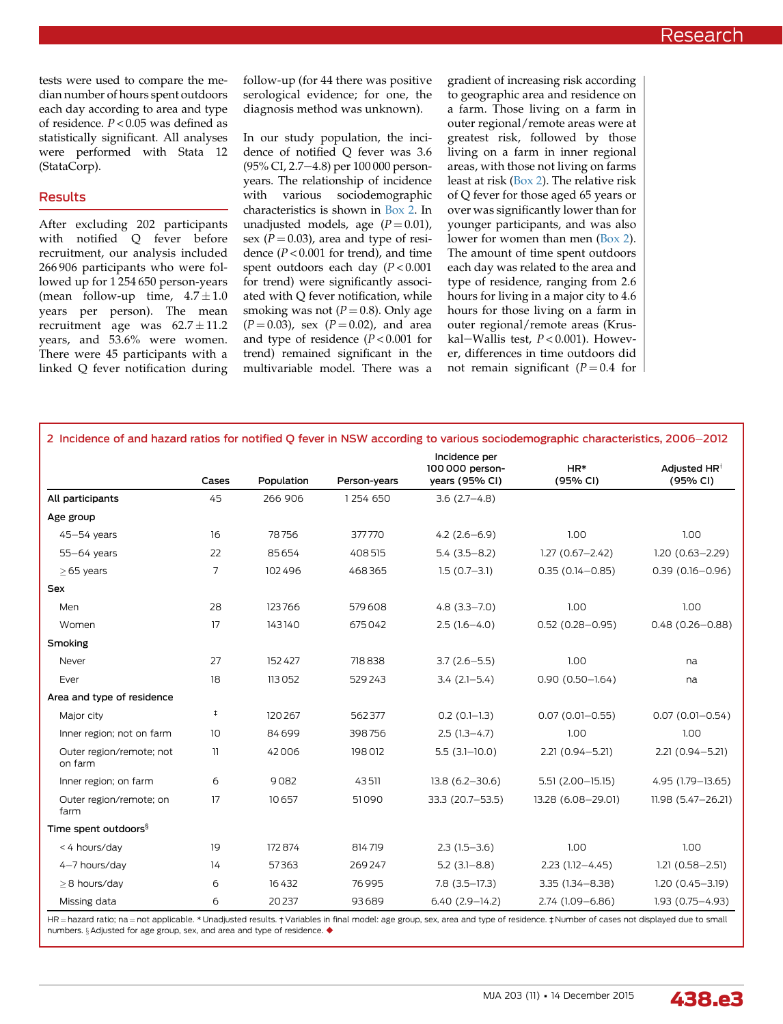tests were used to compare the median number of hours spent outdoors each day according to area and type of residence. P < 0.05 was defined as statistically significant. All analyses were performed with Stata 12 (StataCorp).

### Results

After excluding 202 participants with notified Q fever before recruitment, our analysis included 266 906 participants who were followed up for 1 254 650 person-years (mean follow-up time,  $4.7 \pm 1.0$ years per person). The mean recruitment age was  $62.7 \pm 11.2$ years, and 53.6% were women. There were 45 participants with a linked Q fever notification during follow-up (for 44 there was positive serological evidence; for one, the diagnosis method was unknown).

In our study population, the incidence of notified Q fever was 3.6 (95% CI, 2.7-4.8) per 100 000 personyears. The relationship of incidence with various sociodemographic characteristics is shown in Box 2. In unadjusted models, age  $(P = 0.01)$ , sex ( $P = 0.03$ ), area and type of residence  $(P < 0.001$  for trend), and time spent outdoors each day  $(P < 0.001$ for trend) were significantly associated with Q fever notification, while smoking was not  $(P = 0.8)$ . Only age  $(P = 0.03)$ , sex  $(P = 0.02)$ , and area and type of residence  $(P < 0.001$  for trend) remained significant in the multivariable model. There was a

gradient of increasing risk according to geographic area and residence on a farm. Those living on a farm in outer regional/remote areas were at greatest risk, followed by those living on a farm in inner regional areas, with those not living on farms least at risk (Box 2). The relative risk of Q fever for those aged 65 years or over was significantly lower than for younger participants, and was also lower for women than men (Box 2). The amount of time spent outdoors each day was related to the area and type of residence, ranging from 2.6 hours for living in a major city to 4.6 hours for those living on a farm in outer regional/remote areas (Kruskal-Wallis test,  $P < 0.001$ ). However, differences in time outdoors did not remain significant ( $P = 0.4$  for

| 2 Incidence of and hazard ratios for notified Q fever in NSW according to various sociodemographic characteristics, 2006-2012 |            |            |              |                                                    |                      |                                      |  |  |
|-------------------------------------------------------------------------------------------------------------------------------|------------|------------|--------------|----------------------------------------------------|----------------------|--------------------------------------|--|--|
|                                                                                                                               | Cases      | Population | Person-years | Incidence per<br>100 000 person-<br>years (95% CI) | $HR*$<br>(95% CI)    | Adjusted HR <sup>†</sup><br>(95% CI) |  |  |
| All participants                                                                                                              | 45         | 266 906    | 1254 650     | $3.6(2.7 - 4.8)$                                   |                      |                                      |  |  |
| Age group                                                                                                                     |            |            |              |                                                    |                      |                                      |  |  |
| $45 - 54$ years                                                                                                               | 16         | 78756      | 377770       | $4.2(2.6-6.9)$                                     | 1.00                 | 1.00                                 |  |  |
| 55-64 years                                                                                                                   | 22         | 85654      | 408515       | $5.4(3.5 - 8.2)$                                   | $1.27(0.67 - 2.42)$  | $1.20(0.63 - 2.29)$                  |  |  |
| $\geq$ 65 years                                                                                                               | 7          | 102496     | 468365       | $1.5(0.7-3.1)$                                     | $0.35(0.14 - 0.85)$  | $0.39(0.16 - 0.96)$                  |  |  |
| <b>Sex</b>                                                                                                                    |            |            |              |                                                    |                      |                                      |  |  |
| Men                                                                                                                           | 28         | 123766     | 579608       | $4.8(3.3 - 7.0)$                                   | 1.00                 | 1.00                                 |  |  |
| Women                                                                                                                         | 17         | 143140     | 675042       | $2.5(1.6-4.0)$                                     | $0.52(0.28 - 0.95)$  | $0.48(0.26 - 0.88)$                  |  |  |
| Smoking                                                                                                                       |            |            |              |                                                    |                      |                                      |  |  |
| Never                                                                                                                         | 27         | 152427     | 718838       | $3.7(2.6 - 5.5)$                                   | 1.00                 | na                                   |  |  |
| Ever                                                                                                                          | 18         | 113052     | 529243       | $3.4(2.1-5.4)$                                     | $0.90(0.50 - 1.64)$  | na                                   |  |  |
| Area and type of residence                                                                                                    |            |            |              |                                                    |                      |                                      |  |  |
| Major city                                                                                                                    | $\ddagger$ | 120267     | 562377       | $0.2(0.1-1.3)$                                     | $0.07(0.01 - 0.55)$  | $0.07(0.01 - 0.54)$                  |  |  |
| Inner region; not on farm                                                                                                     | 10         | 84699      | 398756       | $2.5(1.3-4.7)$                                     | 1.00                 | 1.00                                 |  |  |
| Outer region/remote; not<br>on farm                                                                                           | 11         | 42006      | 198012       | $5.5(3.1-10.0)$                                    | 2.21 (0.94-5.21)     | 2.21 (0.94-5.21)                     |  |  |
| Inner region; on farm                                                                                                         | 6          | 9082       | 43511        | $13.8(6.2 - 30.6)$                                 | $5.51(2.00 - 15.15)$ | 4.95 (1.79-13.65)                    |  |  |
| Outer region/remote; on<br>farm                                                                                               | 17         | 10657      | 51090        | 33.3 (20.7-53.5)                                   | 13.28 (6.08-29.01)   | 11.98 (5.47-26.21)                   |  |  |
| Time spent outdoors <sup>§</sup>                                                                                              |            |            |              |                                                    |                      |                                      |  |  |
| < 4 hours/day                                                                                                                 | 19         | 172874     | 814719       | $2.3(1.5-3.6)$                                     | 1.00                 | 1.00                                 |  |  |
| 4-7 hours/day                                                                                                                 | 14         | 57363      | 269247       | $5.2(3.1 - 8.8)$                                   | $2.23(1.12 - 4.45)$  | $1.21(0.58 - 2.51)$                  |  |  |
| >8 hours/day                                                                                                                  | 6          | 16432      | 76995        | $7.8(3.5-17.3)$                                    | 3.35 (1.34 - 8.38)   | $1.20(0.45 - 3.19)$                  |  |  |
| Missing data                                                                                                                  | 6          | 20237      | 93689        | $6.40(2.9-14.2)$                                   | 2.74 (1.09-6.86)     | $1.93(0.75 - 4.93)$                  |  |  |

HR = hazard ratio; na = not applicable. \* Unadjusted results. † Variables in final model: age group, sex, area and type of residence. ‡ Number of cases not displayed due to small numbers. § Adjusted for age group, sex, and area and type of residence. ◆

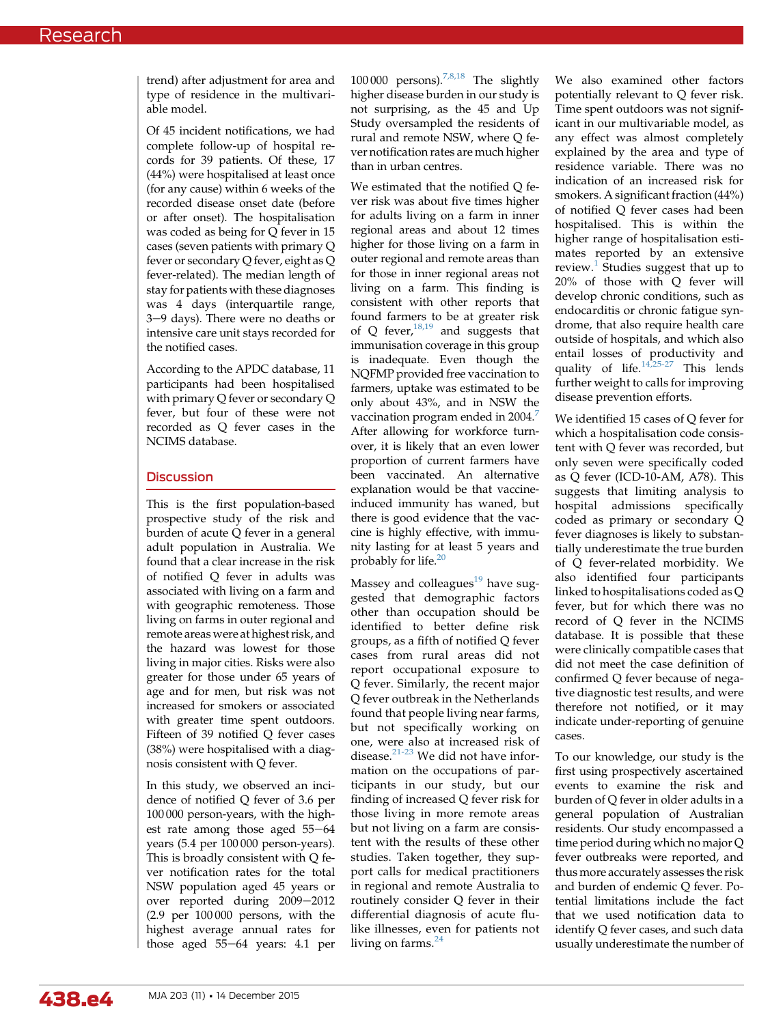trend) after adjustment for area and type of residence in the multivariable model.

Of 45 incident notifications, we had complete follow-up of hospital records for 39 patients. Of these, 17 (44%) were hospitalised at least once (for any cause) within 6 weeks of the recorded disease onset date (before or after onset). The hospitalisation was coded as being for Q fever in 15 cases (seven patients with primary Q fever or secondary Q fever, eight as Q fever-related). The median length of stay for patients with these diagnoses was 4 days (interquartile range, 3-9 days). There were no deaths or intensive care unit stays recorded for the notified cases.

According to the APDC database, 11 participants had been hospitalised with primary Q fever or secondary Q fever, but four of these were not recorded as Q fever cases in the NCIMS database.

## **Discussion**

This is the first population-based prospective study of the risk and burden of acute Q fever in a general adult population in Australia. We found that a clear increase in the risk of notified Q fever in adults was associated with living on a farm and with geographic remoteness. Those living on farms in outer regional and remote areas were at highest risk, and the hazard was lowest for those living in major cities. Risks were also greater for those under 65 years of age and for men, but risk was not increased for smokers or associated with greater time spent outdoors. Fifteen of 39 notified Q fever cases (38%) were hospitalised with a diagnosis consistent with Q fever.

In this study, we observed an incidence of notified Q fever of 3.6 per 100 000 person-years, with the highest rate among those aged  $55-64$ years (5.4 per 100 000 person-years). This is broadly consistent with Q fever notification rates for the total NSW population aged 45 years or over reported during 2009-2012 (2.9 per 100 000 persons, with the highest average annual rates for those aged  $55-64$  years:  $4.1$  per

100 000 persons).<sup>[7,8,18](#page-5-0)</sup> The slightly higher disease burden in our study is not surprising, as the 45 and Up Study oversampled the residents of rural and remote NSW, where Q fever notification rates are much higher than in urban centres.

We estimated that the notified Q fever risk was about five times higher for adults living on a farm in inner regional areas and about 12 times higher for those living on a farm in outer regional and remote areas than for those in inner regional areas not living on a farm. This finding is consistent with other reports that found farmers to be at greater risk of Q fever,  $18,19$  and suggests that immunisation coverage in this group is inadequate. Even though the NQFMP provided free vaccination to farmers, uptake was estimated to be only about 43%, and in NSW the vaccination program ended in 2004.<sup>[7](#page-5-0)</sup> After allowing for workforce turnover, it is likely that an even lower proportion of current farmers have been vaccinated. An alternative explanation would be that vaccineinduced immunity has waned, but there is good evidence that the vaccine is highly effective, with immunity lasting for at least 5 years and probably for life. $20$ 

Massey and colleagues $19$  have suggested that demographic factors other than occupation should be identified to better define risk groups, as a fifth of notified Q fever cases from rural areas did not report occupational exposure to Q fever. Similarly, the recent major Q fever outbreak in the Netherlands found that people living near farms, but not specifically working on one, were also at increased risk of disease.[21-23](#page-5-0) We did not have information on the occupations of participants in our study, but our finding of increased Q fever risk for those living in more remote areas but not living on a farm are consistent with the results of these other studies. Taken together, they support calls for medical practitioners in regional and remote Australia to routinely consider Q fever in their differential diagnosis of acute flulike illnesses, even for patients not living on farms. $^{24}$  $^{24}$  $^{24}$ 

We also examined other factors potentially relevant to Q fever risk. Time spent outdoors was not significant in our multivariable model, as any effect was almost completely explained by the area and type of residence variable. There was no indication of an increased risk for smokers. A significant fraction (44%) of notified Q fever cases had been hospitalised. This is within the higher range of hospitalisation estimates reported by an extensive review. $<sup>1</sup>$  $<sup>1</sup>$  $<sup>1</sup>$  Studies suggest that up to</sup> 20% of those with Q fever will develop chronic conditions, such as endocarditis or chronic fatigue syndrome, that also require health care outside of hospitals, and which also entail losses of productivity and quality of life. $14,25-27$  This lends further weight to calls for improving disease prevention efforts.

We identified 15 cases of Q fever for which a hospitalisation code consistent with Q fever was recorded, but only seven were specifically coded as Q fever (ICD-10-AM, A78). This suggests that limiting analysis to hospital admissions specifically coded as primary or secondary Q fever diagnoses is likely to substantially underestimate the true burden of Q fever-related morbidity. We also identified four participants linked to hospitalisations coded as Q fever, but for which there was no record of Q fever in the NCIMS database. It is possible that these were clinically compatible cases that did not meet the case definition of confirmed Q fever because of negative diagnostic test results, and were therefore not notified, or it may indicate under-reporting of genuine cases.

To our knowledge, our study is the first using prospectively ascertained events to examine the risk and burden of Q fever in older adults in a general population of Australian residents. Our study encompassed a time period during which no major Q fever outbreaks were reported, and thus more accurately assesses the risk and burden of endemic Q fever. Potential limitations include the fact that we used notification data to identify Q fever cases, and such data usually underestimate the number of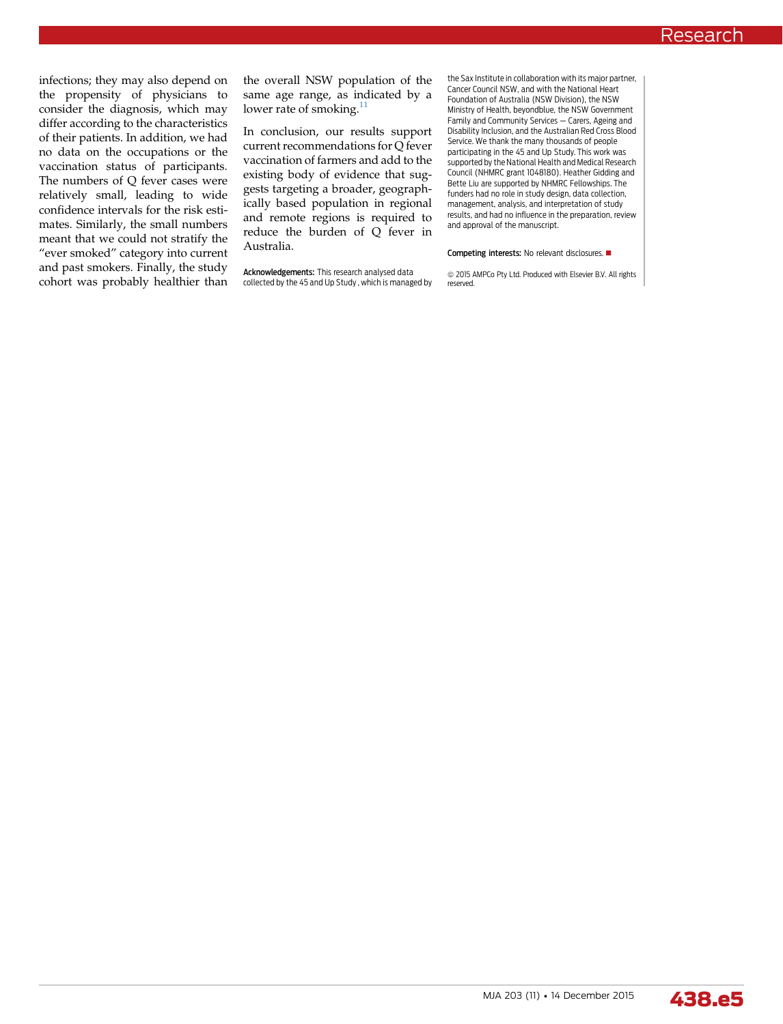infections; they may also depend on the propensity of physicians to consider the diagnosis, which may differ according to the characteristics of their patients. In addition, we had no data on the occupations or the vaccination status of participants. The numbers of Q fever cases were relatively small, leading to wide confidence intervals for the risk estimates. Similarly, the small numbers meant that we could not stratify the "ever smoked" category into current and past smokers. Finally, the study cohort was probably healthier than the overall NSW population of the same age range, as indicated by a lower rate of smoking.<sup>[11](#page-5-0)</sup>

In conclusion, our results support current recommendations for Q fever vaccination of farmers and add to the existing body of evidence that suggests targeting a broader, geographically based population in regional and remote regions is required to reduce the burden of Q fever in Australia.

Acknowledgements: This research analysed data collected by the 45 and Up Study , which is managed by

the Sax Institute in collaboration with its major partner, Cancer Council NSW, and with the National Heart Foundation of Australia (NSW Division), the NSW Ministry of Health, beyondblue, the NSW Government Family and Community Services – Carers, Ageing and Disability Inclusion, and the Australian Red Cross Blood Service. We thank the many thousands of people participating in the 45 and Up Study. This work was supported by the National Health and Medical Research Council (NHMRC grant 1048180). Heather Gidding and Bette Liu are supported by NHMRC Fellowships. The funders had no role in study design, data collection, management, analysis, and interpretation of study results, and had no influence in the preparation, review and approval of the manuscript.

#### Competing interests: No relevant disclosures.

 $\circledcirc$  2015 AMPCo Pty Ltd. Produced with Elsevier B.V. All rights reserved.